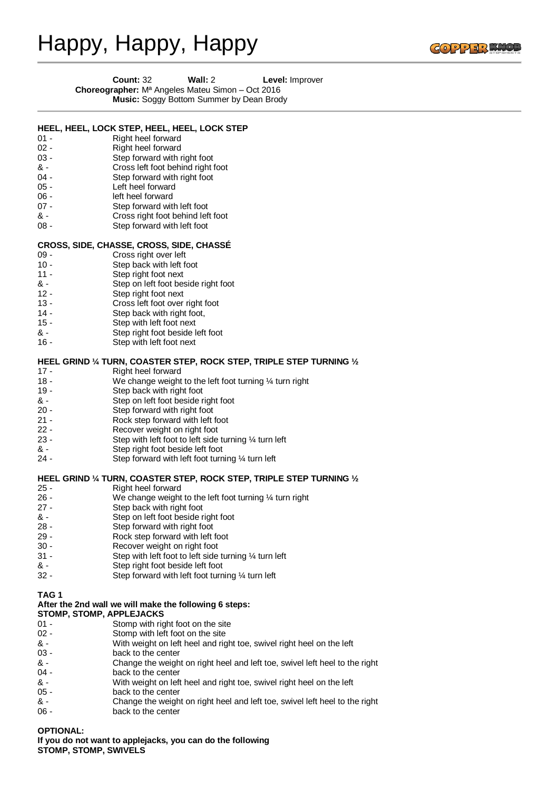# Happy, Happy, Happy



| <b>Count: 32</b>                                           | Wall: $2 \overline{ }$ |  | Level: Improver |
|------------------------------------------------------------|------------------------|--|-----------------|
| <b>Choreographer:</b> $M^a$ Angeles Mateu Simon – Oct 2016 | $\sim$ $\sim$ $\sim$   |  |                 |

**Music:** Soggy Bottom Summer by Dean Brody

| $01 -$<br>$02 -$<br>$03 -$<br>& -<br>04 -<br>$05 -$<br>$06 -$<br>$07 -$<br>& -<br>$08 -$ | HEEL, HEEL, LOCK STEP, HEEL, HEEL, LOCK STEP<br>Right heel forward<br>Right heel forward<br>Step forward with right foot<br>Cross left foot behind right foot<br>Step forward with right foot<br>Left heel forward<br>left heel forward<br>Step forward with left foot<br>Cross right foot behind left foot<br>Step forward with left foot |
|------------------------------------------------------------------------------------------|--------------------------------------------------------------------------------------------------------------------------------------------------------------------------------------------------------------------------------------------------------------------------------------------------------------------------------------------|
|                                                                                          | CROSS, SIDE, CHASSE, CROSS, SIDE, CHASSE                                                                                                                                                                                                                                                                                                   |
| $09 -$                                                                                   | Cross right over left                                                                                                                                                                                                                                                                                                                      |
| $10 -$                                                                                   | Step back with left foot                                                                                                                                                                                                                                                                                                                   |
| $11 -$                                                                                   | Step right foot next                                                                                                                                                                                                                                                                                                                       |
| & -                                                                                      | Step on left foot beside right foot                                                                                                                                                                                                                                                                                                        |
| $12 -$                                                                                   | Step right foot next                                                                                                                                                                                                                                                                                                                       |
| $13 -$                                                                                   | Cross left foot over right foot                                                                                                                                                                                                                                                                                                            |
| $14 -$                                                                                   | Step back with right foot,                                                                                                                                                                                                                                                                                                                 |
| $15 -$                                                                                   | Step with left foot next                                                                                                                                                                                                                                                                                                                   |
| & -                                                                                      | Step right foot beside left foot                                                                                                                                                                                                                                                                                                           |
| $16 -$                                                                                   | Step with left foot next                                                                                                                                                                                                                                                                                                                   |
|                                                                                          | HEEL GRIND $\%$ TURN, COASTER STEP, ROCK STEP, TRIPLE STEP TURNING $\frac{1}{2}$                                                                                                                                                                                                                                                           |
| $17 -$                                                                                   | Right heel forward                                                                                                                                                                                                                                                                                                                         |
| $18 -$                                                                                   | We change weight to the left foot turning $\frac{1}{4}$ turn right                                                                                                                                                                                                                                                                         |
| 19 -                                                                                     | Step back with right foot                                                                                                                                                                                                                                                                                                                  |
| & -                                                                                      | Step on left foot beside right foot                                                                                                                                                                                                                                                                                                        |
| $20 -$                                                                                   | Step forward with right foot                                                                                                                                                                                                                                                                                                               |
| $21 -$                                                                                   | Rock step forward with left foot                                                                                                                                                                                                                                                                                                           |
| $22 -$                                                                                   | Recover weight on right foot                                                                                                                                                                                                                                                                                                               |
| $23 -$                                                                                   | Step with left foot to left side turning 1/4 turn left                                                                                                                                                                                                                                                                                     |
| & -                                                                                      | Step right foot beside left foot                                                                                                                                                                                                                                                                                                           |
| 24 -                                                                                     | Step forward with left foot turning 1/4 turn left                                                                                                                                                                                                                                                                                          |
|                                                                                          | HEEL GRIND 1/4 TURN, COASTER STEP, ROCK STEP, TRIPLE STEP TURNING 1/2                                                                                                                                                                                                                                                                      |
| $25 -$                                                                                   | Right heel forward                                                                                                                                                                                                                                                                                                                         |
| $26 -$                                                                                   | We change weight to the left foot turning $\frac{1}{4}$ turn right                                                                                                                                                                                                                                                                         |
| $27 -$                                                                                   | Step back with right foot                                                                                                                                                                                                                                                                                                                  |
| & -                                                                                      | Step on left foot beside right foot                                                                                                                                                                                                                                                                                                        |
| $28 -$                                                                                   | Step forward with right foot                                                                                                                                                                                                                                                                                                               |
| $29 -$                                                                                   | Rock step forward with left foot                                                                                                                                                                                                                                                                                                           |
| $30 -$                                                                                   | Recover weight on right foot                                                                                                                                                                                                                                                                                                               |
| $31 -$                                                                                   | Step with left foot to left side turning $\frac{1}{4}$ turn left                                                                                                                                                                                                                                                                           |
| & -<br>$32 -$                                                                            | Step right foot beside left foot<br>Step forward with left foot turning 1/4 turn left                                                                                                                                                                                                                                                      |
|                                                                                          |                                                                                                                                                                                                                                                                                                                                            |
| TAG <sub>1</sub>                                                                         |                                                                                                                                                                                                                                                                                                                                            |
|                                                                                          | After the 2nd wall we will make the following 6 steps:                                                                                                                                                                                                                                                                                     |
| STOMP, STOMP, APPLEJACKS                                                                 |                                                                                                                                                                                                                                                                                                                                            |
| $01 -$                                                                                   | Stomp with right foot on the site                                                                                                                                                                                                                                                                                                          |
| $02 -$                                                                                   | Stomp with left foot on the site                                                                                                                                                                                                                                                                                                           |
| & -<br>$03 -$                                                                            | With weight on left heel and right toe, swivel right heel on the left<br>back to the center                                                                                                                                                                                                                                                |
| & -                                                                                      | Change the weight on right heel and left toe, swivel left heel to the right                                                                                                                                                                                                                                                                |
| $04 -$                                                                                   | back to the center                                                                                                                                                                                                                                                                                                                         |
| & -                                                                                      | With weight on left heel and right toe, swivel right heel on the left                                                                                                                                                                                                                                                                      |
| $05 -$                                                                                   | back to the center                                                                                                                                                                                                                                                                                                                         |
| & -                                                                                      | Change the weight on right heel and left toe, swivel left heel to the right                                                                                                                                                                                                                                                                |
| $06 -$                                                                                   | back to the center                                                                                                                                                                                                                                                                                                                         |
|                                                                                          |                                                                                                                                                                                                                                                                                                                                            |
|                                                                                          |                                                                                                                                                                                                                                                                                                                                            |

### **OPTIONAL:**

**If you do not want to applejacks, you can do the following STOMP, STOMP, SWIVELS**